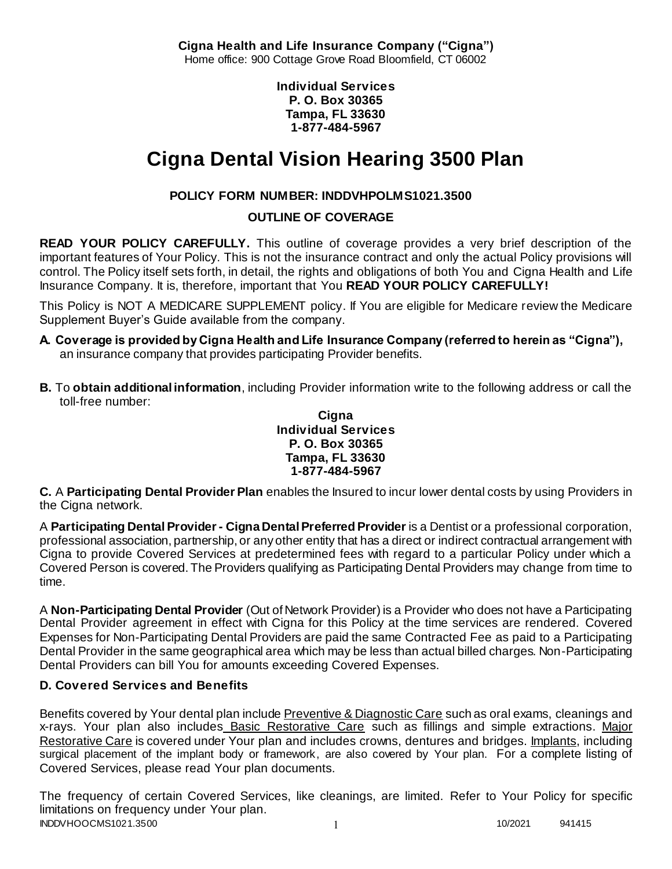**Cigna Health and Life Insurance Company ("Cigna")** Home office: 900 Cottage Grove Road Bloomfield, CT 06002

> **Individual Services P. O. Box 30365 Tampa, FL 33630 1-877-484-5967**

# **Cigna Dental Vision Hearing 3500 Plan**

# **POLICY FORM NUMBER: INDDVHPOLMS1021.3500**

**OUTLINE OF COVERAGE** 

**READ YOUR POLICY CAREFULLY.** This outline of coverage provides a very brief description of the important features of Your Policy. This is not the insurance contract and only the actual Policy provisions will control. The Policy itself sets forth, in detail, the rights and obligations of both You and Cigna Health and Life Insurance Company. It is, therefore, important that You **READ YOUR POLICY CAREFULLY!** 

This Policy is NOT A MEDICARE SUPPLEMENT policy. If You are eligible for Medicare review the Medicare Supplement Buyer's Guide available from the company.

- **A. Coverage is provided by Cigna Health and Life Insurance Company (referred to herein as "Cigna"),**  an insurance company that provides participating Provider benefits.
- **B.** To **obtain additional information**, including Provider information write to the following address or call the toll-free number:

**Cigna Individual Services P. O. Box 30365 Tampa, FL 33630 1-877-484-5967**

**C.** A **Participating Dental Provider Plan** enables the Insured to incur lower dental costs by using Providers in the Cigna network.

A **Participating Dental Provider - Cigna Dental Preferred Provider** is a Dentist or a professional corporation, professional association, partnership, or any other entity that has a direct or indirect contractual arrangement with Cigna to provide Covered Services at predetermined fees with regard to a particular Policy under which a Covered Person is covered. The Providers qualifying as Participating Dental Providers may change from time to time.

A **Non-Participating Dental Provider** (Out of Network Provider) is a Provider who does not have a Participating Dental Provider agreement in effect with Cigna for this Policy at the time services are rendered. Covered Expenses for Non-Participating Dental Providers are paid the same Contracted Fee as paid to a Participating Dental Provider in the same geographical area which may be less than actual billed charges. Non-Participating Dental Providers can bill You for amounts exceeding Covered Expenses.

# **D. Covered Services and Benefits**

Benefits covered by Your dental plan include Preventive & Diagnostic Care such as oral exams, cleanings and x-rays. Your plan also includes Basic Restorative Care such as fillings and simple extractions. Major Restorative Care is covered under Your plan and includes crowns, dentures and bridges. Implants, including surgical placement of the implant body or framework, are also covered by Your plan. For a complete listing of Covered Services, please read Your plan documents.

INDDVHOOCMS1021.3500 1 2021 1 20221 941415 The frequency of certain Covered Services, like cleanings, are limited. Refer to Your Policy for specific limitations on frequency under Your plan.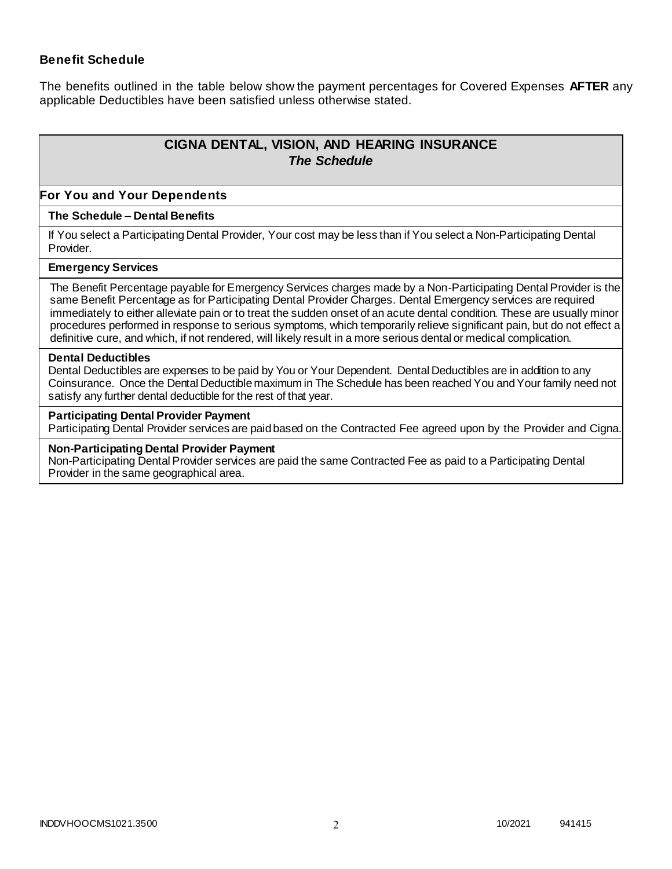#### **Benefit Schedule**

The benefits outlined in the table below show the payment percentages for Covered Expenses **AFTER** any applicable Deductibles have been satisfied unless otherwise stated.

# **CIGNA DENTAL, VISION, AND HEARING INSURANCE** *The Schedule*

#### **For You and Your Dependents**

#### **The Schedule – Dental Benefits**

If You select a Participating Dental Provider, Your cost may be less than if You select a Non-Participating Dental Provider.

#### **Emergency Services**

The Benefit Percentage payable for Emergency Services charges made by a Non-Participating Dental Provider is the same Benefit Percentage as for Participating Dental Provider Charges. Dental Emergency services are required immediately to either alleviate pain or to treat the sudden onset of an acute dental condition. These are usually minor procedures performed in response to serious symptoms, which temporarily relieve significant pain, but do not effect a definitive cure, and which, if not rendered, will likely result in a more serious dental or medical complication.

#### **Dental Deductibles**

Dental Deductibles are expenses to be paid by You or Your Dependent. Dental Deductibles are in addition to any Coinsurance. Once the Dental Deductible maximum in The Schedule has been reached You and Your family need not satisfy any further dental deductible for the rest of that year.

#### **Participating Dental Provider Payment**

Participating Dental Provider services are paid based on the Contracted Fee agreed upon by the Provider and Cigna.

#### **Non-Participating Dental Provider Payment**

Non-Participating Dental Provider services are paid the same Contracted Fee as paid to a Participating Dental Provider in the same geographical area.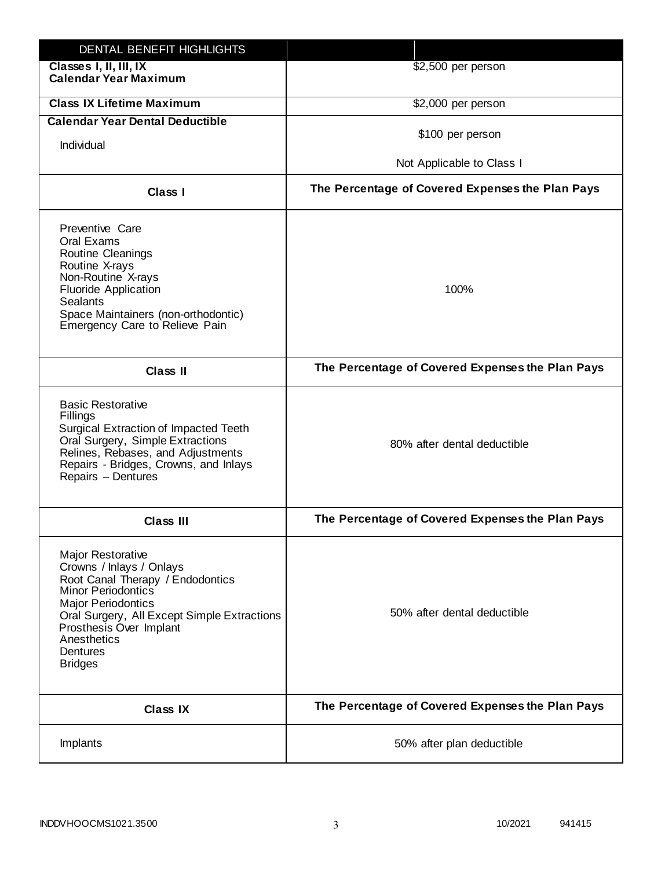| DENTAL BENEFIT HIGHLIGHTS                                                                                                                                                                                                                                                 |                                                  |
|---------------------------------------------------------------------------------------------------------------------------------------------------------------------------------------------------------------------------------------------------------------------------|--------------------------------------------------|
| Classes I, II, III, IX<br><b>Calendar Year Maximum</b>                                                                                                                                                                                                                    | \$2,500 per person                               |
| <b>Class IX Lifetime Maximum</b>                                                                                                                                                                                                                                          | \$2,000 per person                               |
| <b>Calendar Year Dental Deductible</b>                                                                                                                                                                                                                                    |                                                  |
| Individual                                                                                                                                                                                                                                                                | \$100 per person                                 |
|                                                                                                                                                                                                                                                                           | Not Applicable to Class I                        |
| Class I                                                                                                                                                                                                                                                                   | The Percentage of Covered Expenses the Plan Pays |
| Preventive Care<br>Oral Exams<br><b>Routine Cleanings</b><br>Routine X-rays<br>Non-Routine X-rays<br><b>Fluoride Application</b><br><b>Sealants</b><br>Space Maintainers (non-orthodontic)<br>Emergency Care to Relieve Pain                                              | 100%                                             |
| <b>Class II</b>                                                                                                                                                                                                                                                           | The Percentage of Covered Expenses the Plan Pays |
| <b>Basic Restorative</b><br>Fillings<br>Surgical Extraction of Impacted Teeth<br>Oral Surgery, Simple Extractions<br>Relines, Rebases, and Adjustments<br>Repairs - Bridges, Crowns, and Inlays<br>Repairs - Dentures                                                     | 80% after dental deductible                      |
| <b>Class III</b>                                                                                                                                                                                                                                                          | The Percentage of Covered Expenses the Plan Pays |
| <b>Major Restorative</b><br>Crowns / Inlays / Onlays<br>Root Canal Therapy / Endodontics<br><b>Minor Periodontics</b><br><b>Major Periodontics</b><br>Oral Surgery, All Except Simple Extractions<br>Prosthesis Over Implant<br>Anesthetics<br>Dentures<br><b>Bridges</b> | 50% after dental deductible                      |
| <b>Class IX</b>                                                                                                                                                                                                                                                           | The Percentage of Covered Expenses the Plan Pays |
| Implants                                                                                                                                                                                                                                                                  | 50% after plan deductible                        |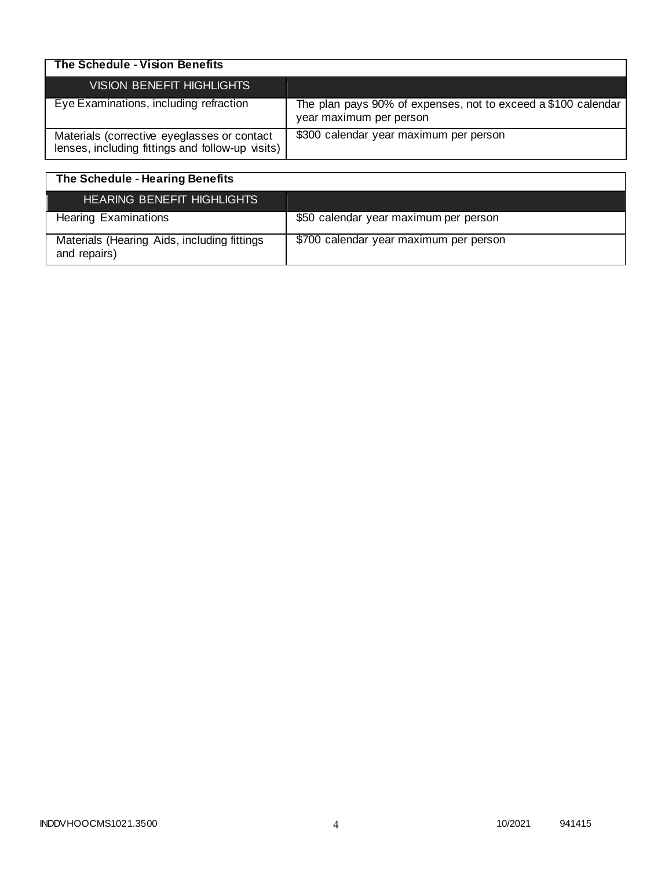| The Schedule - Vision Benefits                                                                  |                                                                                          |
|-------------------------------------------------------------------------------------------------|------------------------------------------------------------------------------------------|
| VISION BENEFIT HIGHLIGHTS                                                                       |                                                                                          |
| Eye Examinations, including refraction                                                          | The plan pays 90% of expenses, not to exceed a \$100 calendar<br>year maximum per person |
| Materials (corrective eyeglasses or contact<br>lenses, including fittings and follow-up visits) | \$300 calendar year maximum per person                                                   |

| The Schedule - Hearing Benefits                             |                                        |
|-------------------------------------------------------------|----------------------------------------|
| <b>HEARING BENEFIT HIGHLIGHTS</b>                           |                                        |
| <b>Hearing Examinations</b>                                 | \$50 calendar year maximum per person  |
| Materials (Hearing Aids, including fittings<br>and repairs) | \$700 calendar year maximum per person |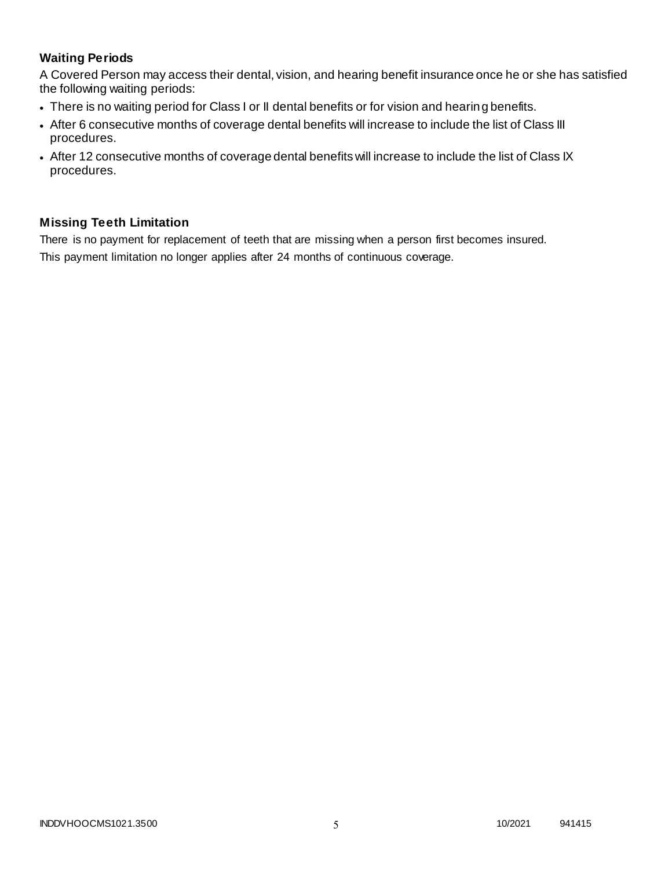# **Waiting Periods**

A Covered Person may access their dental, vision, and hearing benefit insurance once he or she has satisfied the following waiting periods:

- There is no waiting period for Class I or II dental benefits or for vision and hearing benefits.
- After 6 consecutive months of coverage dental benefits will increase to include the list of Class III procedures.
- After 12 consecutive months of coverage dental benefits will increase to include the list of Class IX procedures.

# **Missing Teeth Limitation**

There is no payment for replacement of teeth that are missing when a person first becomes insured. This payment limitation no longer applies after 24 months of continuous coverage.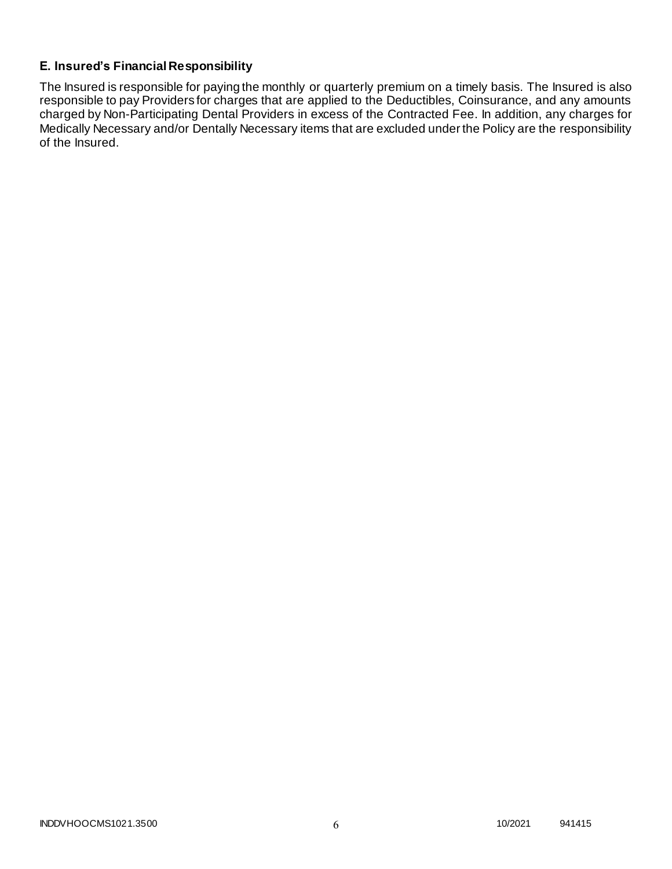# **E. Insured's Financial Responsibility**

The Insured is responsible for paying the monthly or quarterly premium on a timely basis. The Insured is also responsible to pay Providers for charges that are applied to the Deductibles, Coinsurance, and any amounts charged by Non-Participating Dental Providers in excess of the Contracted Fee. In addition, any charges for Medically Necessary and/or Dentally Necessary items that are excluded under the Policy are the responsibility of the Insured.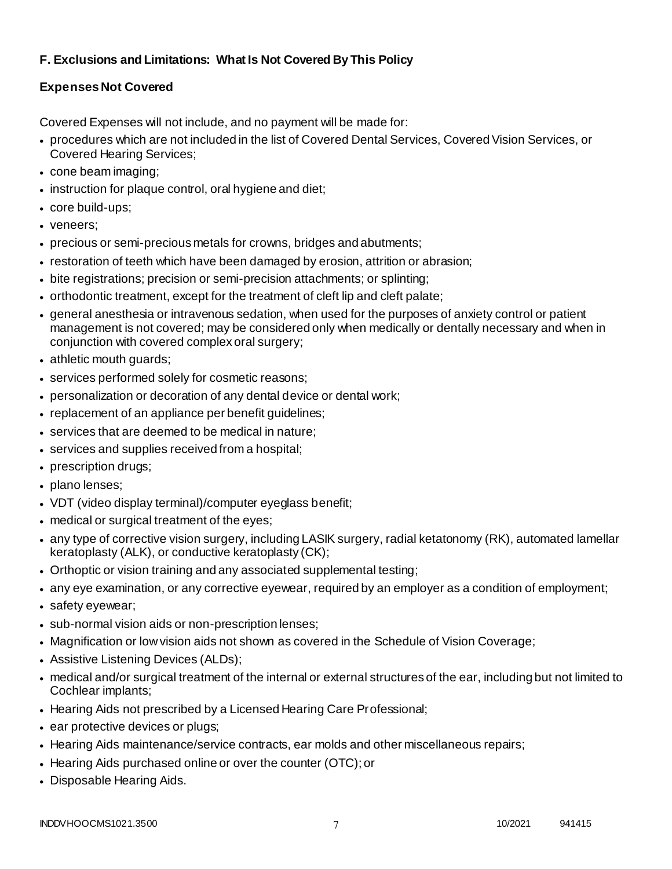# **F. Exclusions and Limitations: What Is Not Covered By This Policy**

# **Expenses Not Covered**

Covered Expenses will not include, and no payment will be made for:

- procedures which are not included in the list of Covered Dental Services, Covered Vision Services, or Covered Hearing Services;
- cone beam imaging;
- instruction for plaque control, oral hygiene and diet;
- core build-ups;
- veneers;
- precious or semi-precious metals for crowns, bridges and abutments;
- restoration of teeth which have been damaged by erosion, attrition or abrasion;
- bite registrations; precision or semi-precision attachments; or splinting;
- orthodontic treatment, except for the treatment of cleft lip and cleft palate;
- general anesthesia or intravenous sedation, when used for the purposes of anxiety control or patient management is not covered; may be considered only when medically or dentally necessary and when in conjunction with covered complex oral surgery;
- athletic mouth guards;
- services performed solely for cosmetic reasons;
- personalization or decoration of any dental device or dental work;
- replacement of an appliance per benefit guidelines;
- services that are deemed to be medical in nature;
- services and supplies received from a hospital;
- prescription drugs;
- plano lenses;
- VDT (video display terminal)/computer eyeglass benefit;
- medical or surgical treatment of the eyes;
- any type of corrective vision surgery, including LASIK surgery, radial ketatonomy (RK), automated lamellar keratoplasty (ALK), or conductive keratoplasty (CK);
- Orthoptic or vision training and any associated supplemental testing;
- any eye examination, or any corrective eyewear, required by an employer as a condition of employment;
- safety eyewear;
- sub-normal vision aids or non-prescription lenses;
- Magnification or low vision aids not shown as covered in the Schedule of Vision Coverage;
- Assistive Listening Devices (ALDs);
- medical and/or surgical treatment of the internal or external structures of the ear, including but not limited to Cochlear implants;
- Hearing Aids not prescribed by a Licensed Hearing Care Professional;
- ear protective devices or plugs;
- Hearing Aids maintenance/service contracts, ear molds and other miscellaneous repairs;
- Hearing Aids purchased online or over the counter (OTC); or
- Disposable Hearing Aids.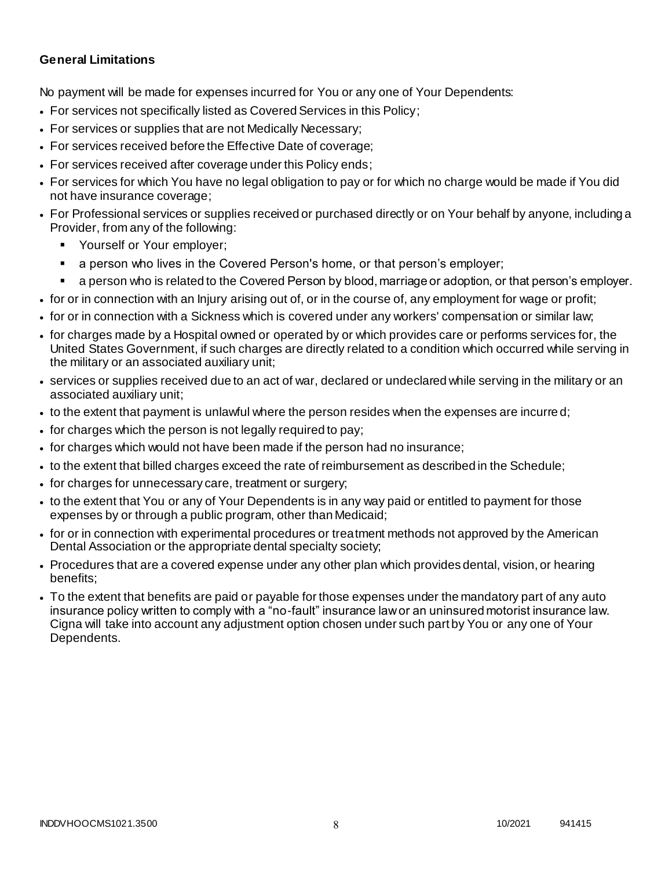### **General Limitations**

No payment will be made for expenses incurred for You or any one of Your Dependents:

- For services not specifically listed as Covered Services in this Policy;
- For services or supplies that are not Medically Necessary;
- For services received before the Effective Date of coverage;
- For services received after coverage under this Policy ends;
- For services for which You have no legal obligation to pay or for which no charge would be made if You did not have insurance coverage;
- For Professional services or supplies received or purchased directly or on Your behalf by anyone, including a Provider, from any of the following:
	- Yourself or Your employer;
	- a person who lives in the Covered Person's home, or that person's employer;
	- a person who is related to the Covered Person by blood, marriage or adoption, or that person's employer.
- for or in connection with an Injury arising out of, or in the course of, any employment for wage or profit;
- for or in connection with a Sickness which is covered under any workers' compensation or similar law;
- for charges made by a Hospital owned or operated by or which provides care or performs services for, the United States Government, if such charges are directly related to a condition which occurred while serving in the military or an associated auxiliary unit;
- services or supplies received due to an act of war, declared or undeclared while serving in the military or an associated auxiliary unit;
- to the extent that payment is unlawful where the person resides when the expenses are incurre d;
- for charges which the person is not legally required to pay;
- for charges which would not have been made if the person had no insurance;
- to the extent that billed charges exceed the rate of reimbursement as described in the Schedule;
- for charges for unnecessary care, treatment or surgery;
- to the extent that You or any of Your Dependents is in any way paid or entitled to payment for those expenses by or through a public program, other than Medicaid;
- for or in connection with experimental procedures or treatment methods not approved by the American Dental Association or the appropriate dental specialty society;
- Procedures that are a covered expense under any other plan which provides dental, vision, or hearing benefits;
- To the extent that benefits are paid or payable for those expenses under the mandatory part of any auto insurance policy written to comply with a "no-fault" insurance law or an uninsured motorist insurance law. Cigna will take into account any adjustment option chosen under such part by You or any one of Your Dependents.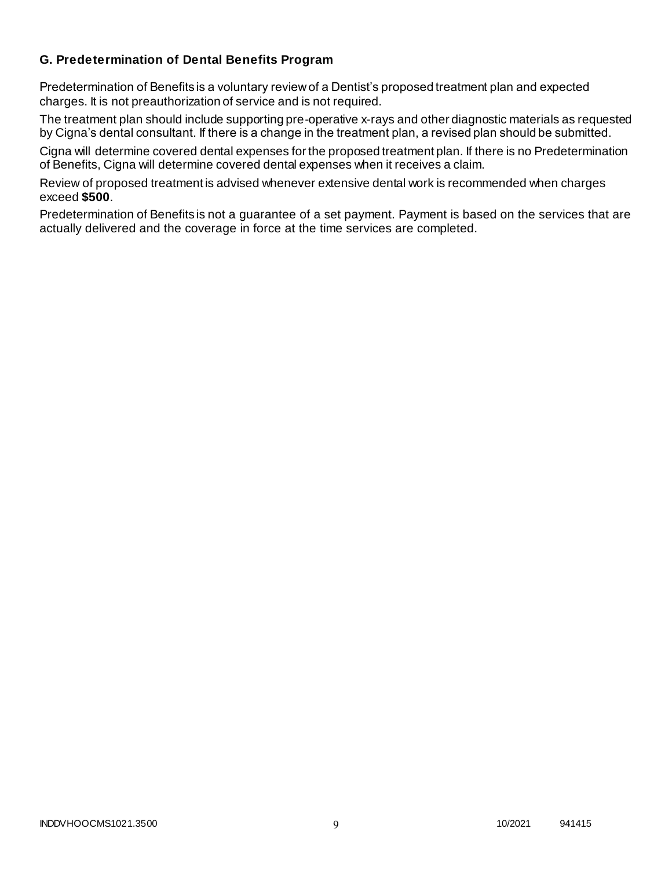### **G. Predetermination of Dental Benefits Program**

Predetermination of Benefits is a voluntary review of a Dentist's proposed treatment plan and expected charges. It is not preauthorization of service and is not required.

The treatment plan should include supporting pre-operative x-rays and other diagnostic materials as requested by Cigna's dental consultant. If there is a change in the treatment plan, a revised plan should be submitted.

Cigna will determine covered dental expenses for the proposed treatment plan. If there is no Predetermination of Benefits, Cigna will determine covered dental expenses when it receives a claim.

Review of proposed treatment is advised whenever extensive dental work is recommended when charges exceed **\$500**.

Predetermination of Benefits is not a guarantee of a set payment. Payment is based on the services that are actually delivered and the coverage in force at the time services are completed.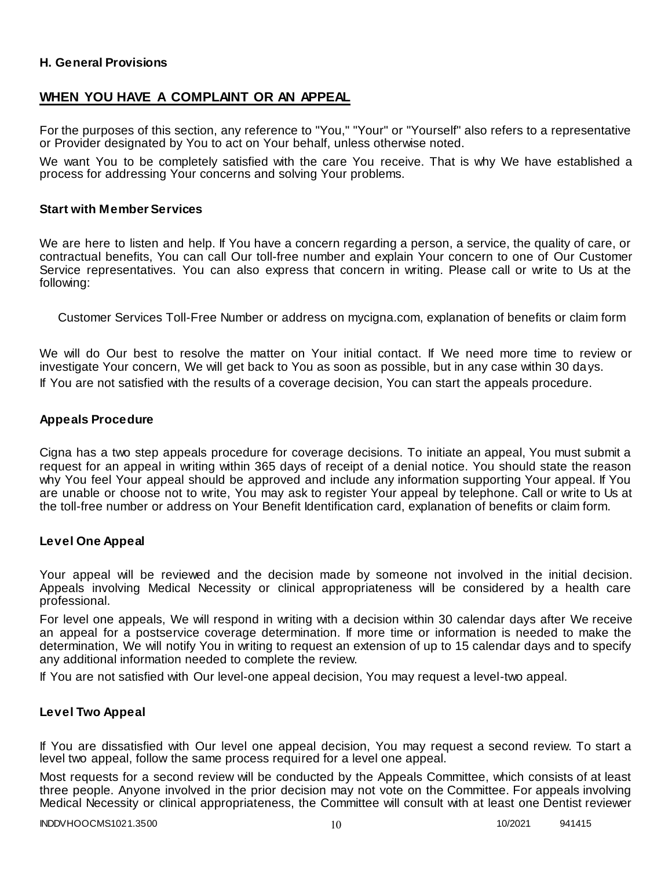### **H. General Provisions**

# **WHEN YOU HAVE A COMPLAINT OR AN APPEAL**

For the purposes of this section, any reference to "You," "Your" or "Yourself" also refers to a representative or Provider designated by You to act on Your behalf, unless otherwise noted.

We want You to be completely satisfied with the care You receive. That is why We have established a process for addressing Your concerns and solving Your problems.

#### **Start with Member Services**

We are here to listen and help. If You have a concern regarding a person, a service, the quality of care, or contractual benefits, You can call Our toll-free number and explain Your concern to one of Our Customer Service representatives. You can also express that concern in writing. Please call or write to Us at the following:

Customer Services Toll-Free Number or address on mycigna.com, explanation of benefits or claim form

We will do Our best to resolve the matter on Your initial contact. If We need more time to review or investigate Your concern, We will get back to You as soon as possible, but in any case within 30 days. If You are not satisfied with the results of a coverage decision, You can start the appeals procedure.

### **Appeals Procedure**

Cigna has a two step appeals procedure for coverage decisions. To initiate an appeal, You must submit a request for an appeal in writing within 365 days of receipt of a denial notice. You should state the reason why You feel Your appeal should be approved and include any information supporting Your appeal. If You are unable or choose not to write, You may ask to register Your appeal by telephone. Call or write to Us at the toll-free number or address on Your Benefit Identification card, explanation of benefits or claim form.

#### **Level One Appeal**

Your appeal will be reviewed and the decision made by someone not involved in the initial decision. Appeals involving Medical Necessity or clinical appropriateness will be considered by a health care professional.

For level one appeals, We will respond in writing with a decision within 30 calendar days after We receive an appeal for a postservice coverage determination. If more time or information is needed to make the determination, We will notify You in writing to request an extension of up to 15 calendar days and to specify any additional information needed to complete the review.

If You are not satisfied with Our level-one appeal decision, You may request a level-two appeal.

#### **Level Two Appeal**

If You are dissatisfied with Our level one appeal decision, You may request a second review. To start a level two appeal, follow the same process required for a level one appeal.

Most requests for a second review will be conducted by the Appeals Committee, which consists of at least three people. Anyone involved in the prior decision may not vote on the Committee. For appeals involving Medical Necessity or clinical appropriateness, the Committee will consult with at least one Dentist reviewer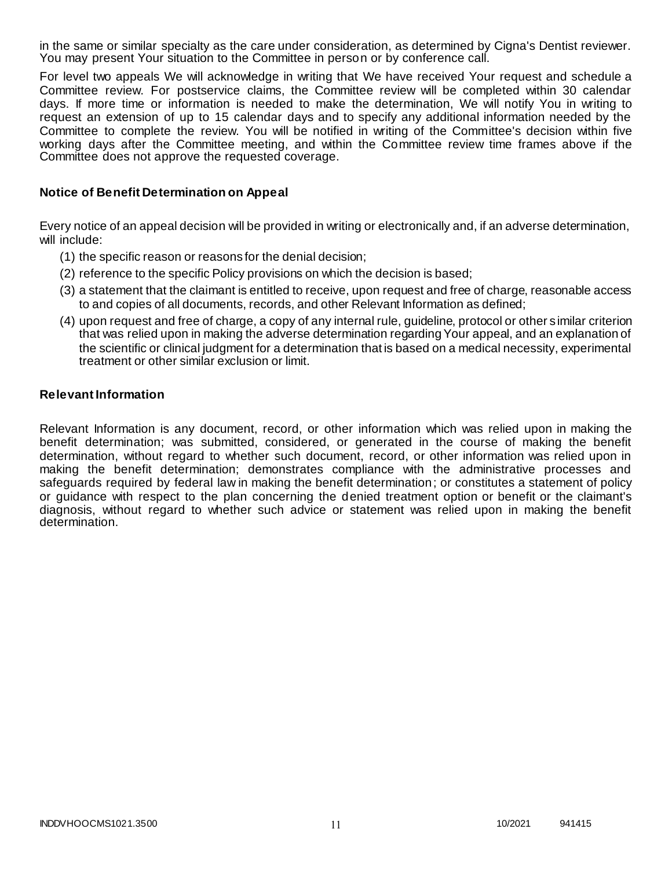in the same or similar specialty as the care under consideration, as determined by Cigna's Dentist reviewer. You may present Your situation to the Committee in person or by conference call.

For level two appeals We will acknowledge in writing that We have received Your request and schedule a Committee review. For postservice claims, the Committee review will be completed within 30 calendar days. If more time or information is needed to make the determination, We will notify You in writing to request an extension of up to 15 calendar days and to specify any additional information needed by the Committee to complete the review. You will be notified in writing of the Committee's decision within five working days after the Committee meeting, and within the Committee review time frames above if the Committee does not approve the requested coverage.

#### **Notice of Benefit Determination on Appeal**

Every notice of an appeal decision will be provided in writing or electronically and, if an adverse determination, will include:

- (1) the specific reason or reasons for the denial decision;
- (2) reference to the specific Policy provisions on which the decision is based;
- (3) a statement that the claimant is entitled to receive, upon request and free of charge, reasonable access to and copies of all documents, records, and other Relevant Information as defined;
- (4) upon request and free of charge, a copy of any internal rule, guideline, protocol or other s imilar criterion that was relied upon in making the adverse determination regarding Your appeal, and an explanation of the scientific or clinical judgment for a determination that is based on a medical necessity, experimental treatment or other similar exclusion or limit.

#### **Relevant Information**

Relevant Information is any document, record, or other information which was relied upon in making the benefit determination; was submitted, considered, or generated in the course of making the benefit determination, without regard to whether such document, record, or other information was relied upon in making the benefit determination; demonstrates compliance with the administrative processes and safeguards required by federal law in making the benefit determination; or constitutes a statement of policy or guidance with respect to the plan concerning the denied treatment option or benefit or the claimant's diagnosis, without regard to whether such advice or statement was relied upon in making the benefit determination.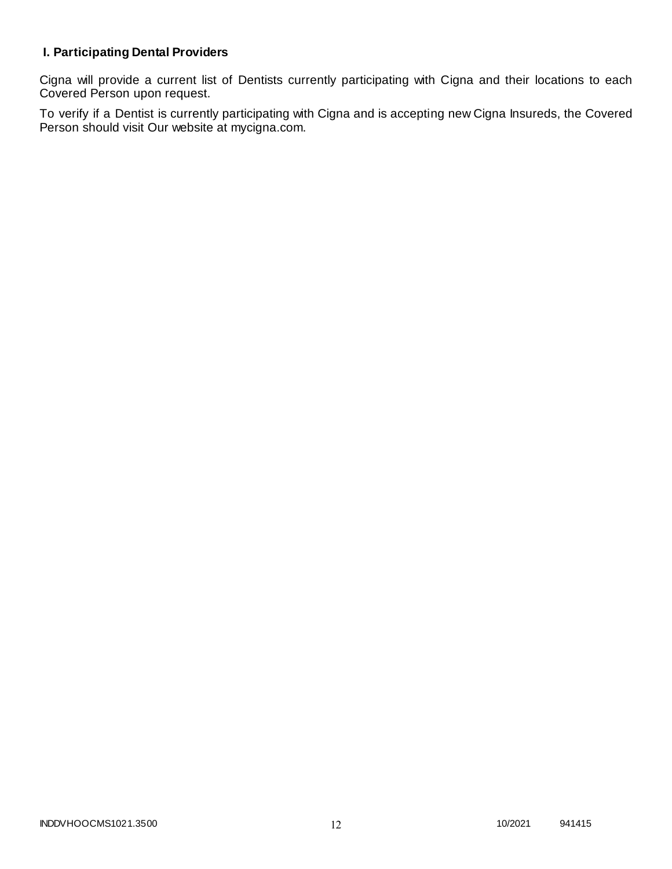# **I. Participating Dental Providers**

Cigna will provide a current list of Dentists currently participating with Cigna and their locations to each Covered Person upon request.

To verify if a Dentist is currently participating with Cigna and is accepting new Cigna Insureds, the Covered Person should visit Our website at mycigna.com.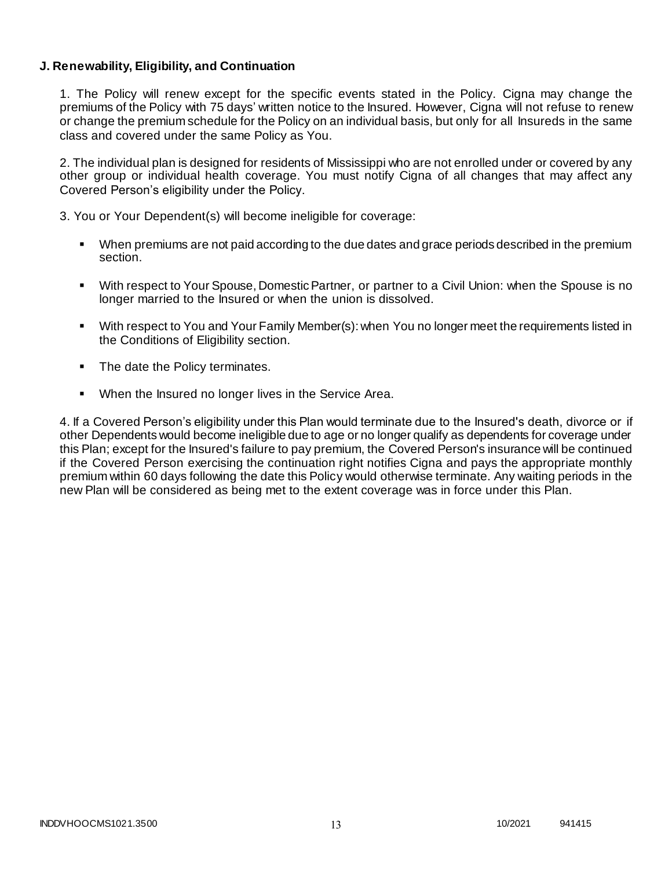### **J. Renewability, Eligibility, and Continuation**

1. The Policy will renew except for the specific events stated in the Policy. Cigna may change the premiums of the Policy with 75 days' written notice to the Insured. However, Cigna will not refuse to renew or change the premium schedule for the Policy on an individual basis, but only for all Insureds in the same class and covered under the same Policy as You.

2. The individual plan is designed for residents of Mississippi who are not enrolled under or covered by any other group or individual health coverage. You must notify Cigna of all changes that may affect any Covered Person's eligibility under the Policy.

3. You or Your Dependent(s) will become ineligible for coverage:

- When premiums are not paid according to the due dates and grace periods described in the premium section.
- With respect to Your Spouse, Domestic Partner, or partner to a Civil Union: when the Spouse is no longer married to the Insured or when the union is dissolved.
- With respect to You and Your Family Member(s): when You no longer meet the requirements listed in the Conditions of Eligibility section.
- The date the Policy terminates.
- When the Insured no longer lives in the Service Area.

4. If a Covered Person's eligibility under this Plan would terminate due to the Insured's death, divorce or if other Dependents would become ineligible due to age or no longer qualify as dependents for coverage under this Plan; except for the Insured's failure to pay premium, the Covered Person's insurance will be continued if the Covered Person exercising the continuation right notifies Cigna and pays the appropriate monthly premium within 60 days following the date this Policy would otherwise terminate. Any waiting periods in the new Plan will be considered as being met to the extent coverage was in force under this Plan.